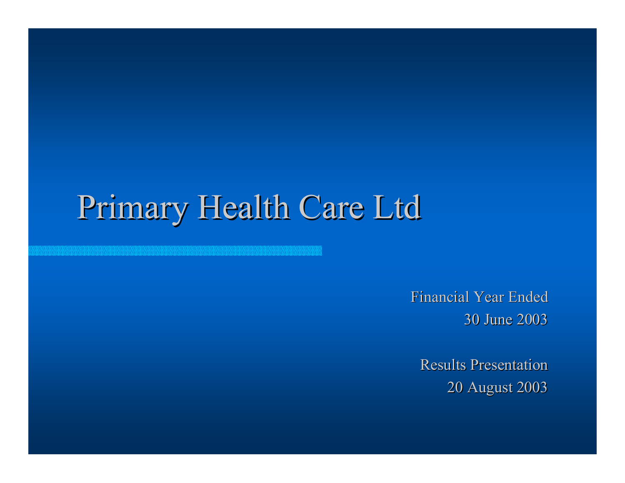# Primary Health Care Ltd

Financial Year Ended 30 June 2003

**Results Presentation** 20 August 2003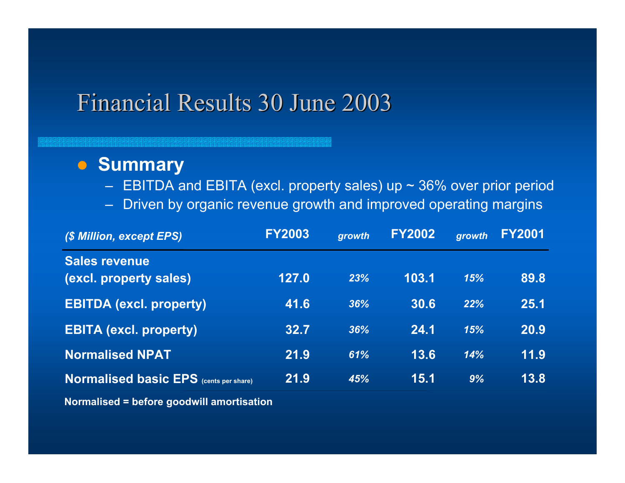#### **• Summary**

- $-$  EBITDA and EBITA (excl. property sales) up  $\sim$  36% over prior period
- Driven by organic revenue growth and improved operating margins

| (\$ Million, except EPS)                       | <b>FY2003</b> | growth | <b>FY2002</b> | growth | <b>FY2001</b> |
|------------------------------------------------|---------------|--------|---------------|--------|---------------|
| <b>Sales revenue</b><br>(excl. property sales) | 127.0         | 23%    | 103.1         | 15%    | 89.8          |
| <b>EBITDA (excl. property)</b>                 | 41.6          | 36%    | 30.6          | 22%    | 25.1          |
| <b>EBITA (excl. property)</b>                  | 32.7          | 36%    | 24.1          | 15%    | 20.9          |
| <b>Normalised NPAT</b>                         | 21.9          | 61%    | 13.6          | 14%    | 11.9          |
| <b>Normalised basic EPS</b> (cents per share)  | 21.9          | 45%    | 15.1          | 9%     | 13.8          |

**Normalised = before goodwill amortisation**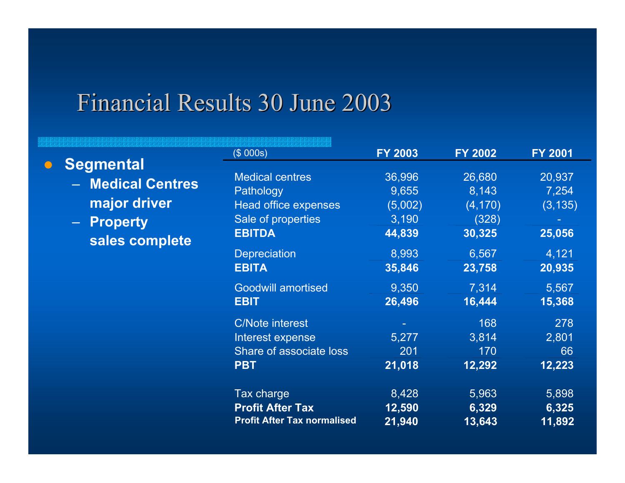$\bigcirc$ 

|                   | (\$000s)                           | <b>FY 2003</b> | <b>FY 2002</b> | <b>FY 2001</b> |
|-------------------|------------------------------------|----------------|----------------|----------------|
| <b>Segmental</b>  | <b>Medical centres</b>             | 36,996         | 26,680         | 20,937         |
| - Medical Centres | Pathology                          | 9,655          | 8,143          | 7,254          |
| major driver      | <b>Head office expenses</b>        | (5,002)        | (4, 170)       | (3, 135)       |
| - Property        | Sale of properties                 | 3,190          | (328)          |                |
| sales complete    | <b>EBITDA</b>                      | 44,839         | 30,325         | 25,056         |
|                   | <b>Depreciation</b>                | 8,993          | 6,567          | 4,121          |
|                   | <b>EBITA</b>                       | 35,846         | 23,758         | 20,935         |
|                   | <b>Goodwill amortised</b>          | 9,350          | 7,314          | 5,567          |
|                   | <b>EBIT</b>                        | 26,496         | 16,444         | 15,368         |
|                   | <b>C/Note interest</b>             |                | 168            | 278            |
|                   | Interest expense                   | 5,277          | 3,814          | 2,801          |
|                   | Share of associate loss            | 201            | 170            | 66             |
|                   | <b>PBT</b>                         | 21,018         | 12,292         | 12,223         |
|                   | Tax charge                         | 8,428          | 5,963          | 5,898          |
|                   | <b>Profit After Tax</b>            | 12,590         | 6,329          | 6,325          |
|                   | <b>Profit After Tax normalised</b> | 21,940         | 13,643         | 11,892         |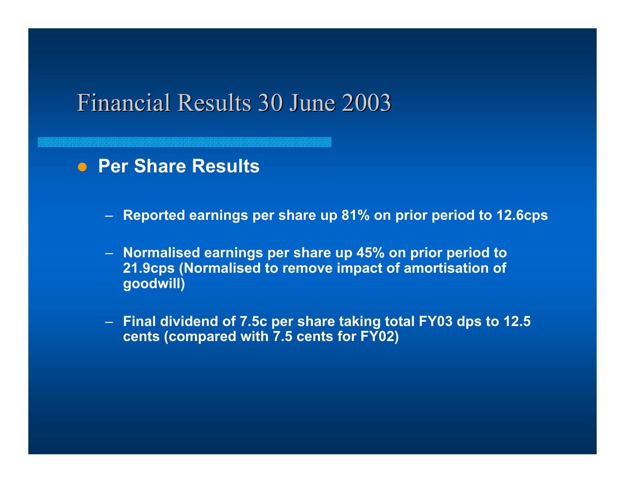**• Per Share Results** 

- **Reported earnings per share up 81% on prior period to 12.6cps**
- **Normalised earnings per share up 45% on prior period to 21.9cps (Normalised to remove impact of amortisation of goodwill)**
- **Final dividend of 7.5c per share taking total FY03 dps to 12.5 cents (compared with 7.5 cents for FY02)**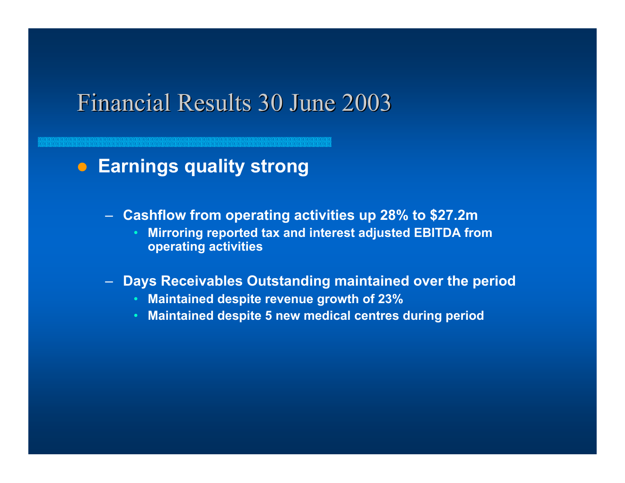#### **• Earnings quality strong**

- **Cashflow from operating activities up 28% to \$27.2m**
	- **Mirroring reported tax and interest adjusted EBITDA from operating activities**
- **Days Receivables Outstanding maintained over the period**
	- **Maintained despite revenue growth of 23%**
	- **Maintained despite 5 new medical centres during period**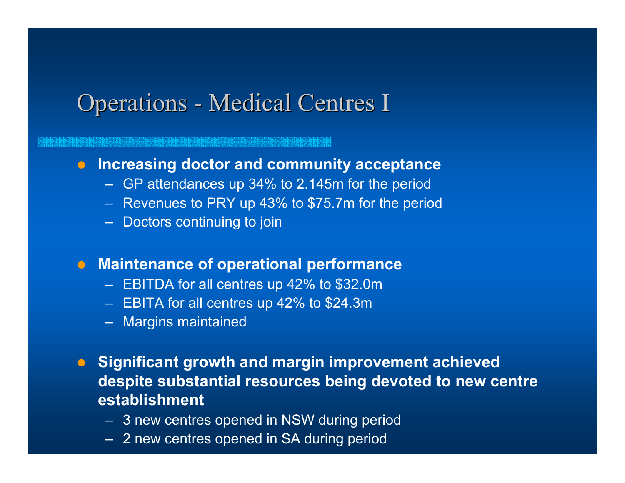### Operations - Medical Centres I

#### **• Increasing doctor and community acceptance**

- GP attendances up 34% to 2.145m for the period
- Revenues to PRY up 43% to \$75.7m for the period
- Doctors continuing to join

#### **• Maintenance of operational performance**

- EBITDA for all centres up 42% to \$32.0m
- EBITA for all centres up 42% to \$24.3m
- Margins maintained
- **Significant growth and margin improvement achieved despite substantial resources being devoted to new centre establishment**
	- 3 new centres opened in NSW during period
	- 2 new centres opened in SA during period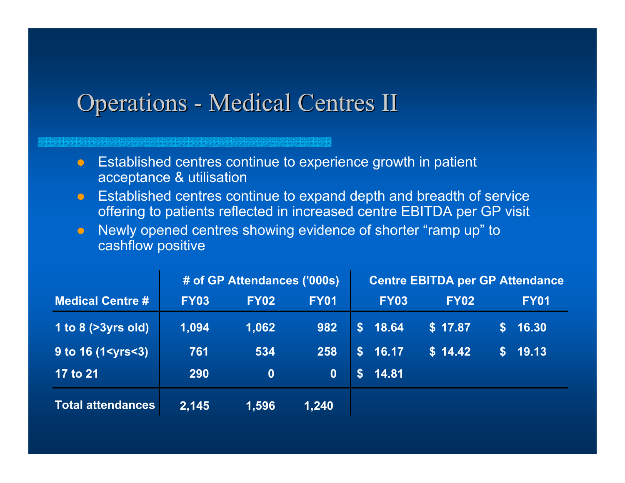### Operations - Medical Centres II

 $\bullet$  Established centres continue to experience growth in patient acceptance & utilisation

- $\bullet$  Established centres continue to expand depth and breadth of service offering to patients reflected in increased centre EBITDA per GP visit
- $\bullet$  Newly opened centres showing evidence of shorter "ramp up" to cashflow positive

|                          | # of GP Attendances ('000s) |             |             | <b>Centre EBITDA per GP Attendance</b> |             |             |                 |             |
|--------------------------|-----------------------------|-------------|-------------|----------------------------------------|-------------|-------------|-----------------|-------------|
| <b>Medical Centre #</b>  | <b>FY03</b>                 | <b>FY02</b> | <b>FY01</b> |                                        | <b>FY03</b> | <b>FY02</b> |                 | <b>FY01</b> |
| 1 to 8 $($ >3yrs old)    | 1,094                       | 1,062       | 982         | S                                      | 18.64       | \$17.87     | S.              | 16.30       |
| $9$ to 16 (1 < yrs < 3)  | 761                         | 534         | 258         | S                                      | 16.17       | \$14.42     | $S_{\parallel}$ | 19.13       |
| <b>17 to 21</b>          | 290                         | $\bf{0}$    | $\bf{0}$    | $\mathbf{s}$                           | 14.81       |             |                 |             |
| <b>Total attendances</b> | 2,145                       | 1,596       | 1,240       |                                        |             |             |                 |             |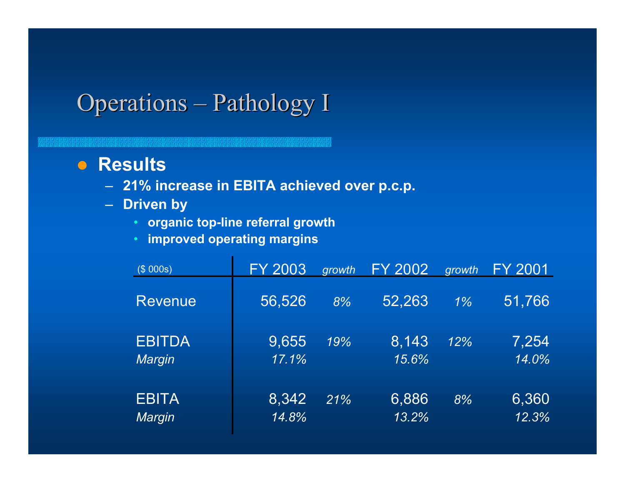## Operations – Pathology I

#### **• Results**

- **21% increase in EBITA achieved over p.c.p.**
- **Driven by** 
	- **organic top-line referral growth**
	- **improved operating margins**

| (\$000s)                | <b>FY 2003</b> | growth | <b>FY 2002</b> | growth | FY 2001        |
|-------------------------|----------------|--------|----------------|--------|----------------|
| <b>Revenue</b>          | 56,526         | 8%     | 52,263         | $1\%$  | 51,766         |
| <b>EBITDA</b><br>Margin | 9,655<br>17.1% | 19%    | 8,143<br>15.6% | 12%    | 7,254<br>14.0% |
| <b>EBITA</b><br>Margin  | 8,342<br>14.8% | 21%    | 6,886<br>13.2% | 8%     | 6,360<br>12.3% |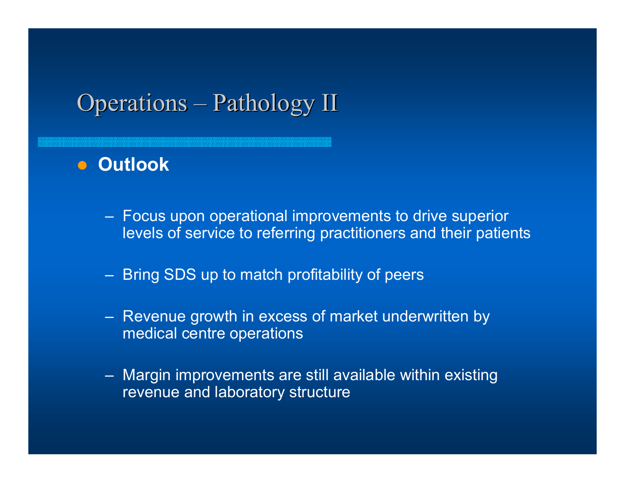## $O$  perations – Pathology II

#### $\bullet$  **Outlook**

- Focus upon operational improvements to drive superior levels of service to referring practitioners and their patients
- Bring SDS up to match profitability of peers
- Revenue growth in excess of market underwritten by medical centre operations
- Margin improvements are still available within existing revenue and laboratory structure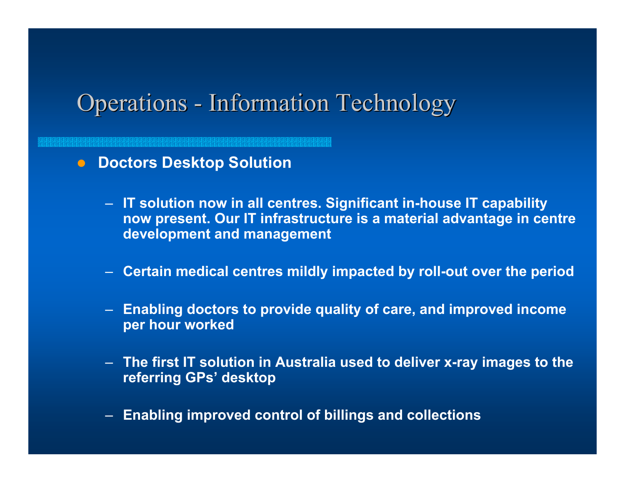### **Operations - Information Technology**

- **Doctors Desktop Solution** 
	- **IT solution now in all centres. Significant in-house IT capability now present. Our IT infrastructure is a material advantage in centre development and management**
	- **Certain medical centres mildly impacted by roll-out over the period**
	- **Enabling doctors to provide quality of care, and improved income per hour worked**
	- **The first IT solution in Australia used to deliver x-ray images to the referring GPs' desktop**
	- **Enabling improved control of billings and collections**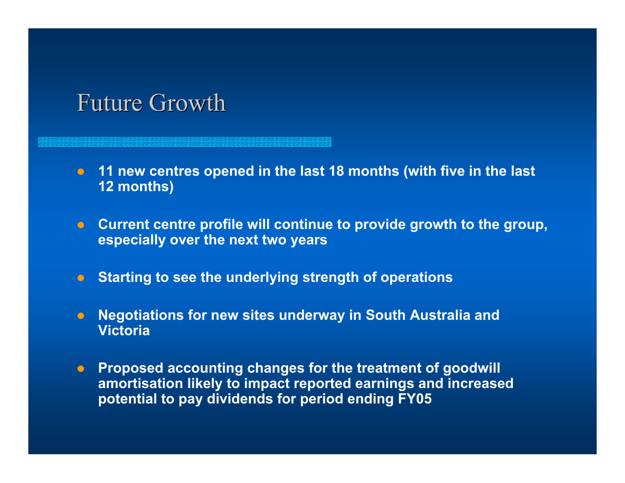#### **Future Growth**

- **11 new centres opened in the last 18 months (with five in the last 12 months)**
- **Current centre profile will continue to provide growth to the group, especially over the next two years**
- **Starting to see the underlying strength of operations**
- $\bullet$  **Negotiations for new sites underway in South Australia and Victoria**
- **Proposed accounting changes for the treatment of goodwill amortisation likely to impact reported earnings and increased potential to pay dividends for period ending FY05**